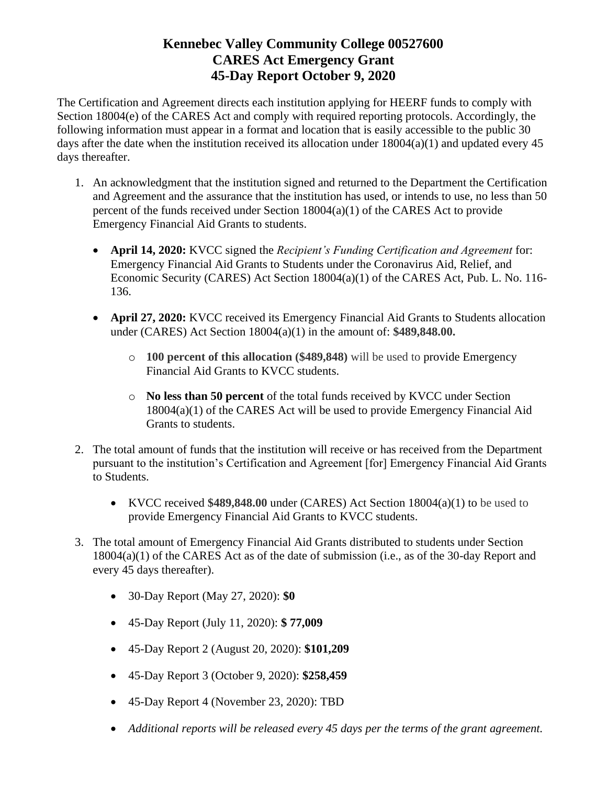The Certification and Agreement directs each institution applying for HEERF funds to comply with Section 18004(e) of the CARES Act and comply with required reporting protocols. Accordingly, the following information must appear in a format and location that is easily accessible to the public 30 days after the date when the institution received its allocation under  $18004(a)(1)$  and updated every 45 days thereafter.

- 1. An acknowledgment that the institution signed and returned to the Department the Certification and Agreement and the assurance that the institution has used, or intends to use, no less than 50 percent of the funds received under Section 18004(a)(1) of the CARES Act to provide Emergency Financial Aid Grants to students.
	- **April 14, 2020:** KVCC signed the *Recipient's Funding Certification and Agreement* for: Emergency Financial Aid Grants to Students under the Coronavirus Aid, Relief, and Economic Security (CARES) Act Section 18004(a)(1) of the CARES Act, Pub. L. No. 116- 136.
	- **April 27, 2020:** KVCC received its Emergency Financial Aid Grants to Students allocation under (CARES) Act Section 18004(a)(1) in the amount of: **\$489,848.00.** 
		- o **100 percent of this allocation (\$489,848)** will be used to provide Emergency Financial Aid Grants to KVCC students.
		- o **No less than 50 percent** of the total funds received by KVCC under Section 18004(a)(1) of the CARES Act will be used to provide Emergency Financial Aid Grants to students.
- 2. The total amount of funds that the institution will receive or has received from the Department pursuant to the institution's Certification and Agreement [for] Emergency Financial Aid Grants to Students.
	- KVCC received **\$489,848.00** under (CARES) Act Section 18004(a)(1) to be used to provide Emergency Financial Aid Grants to KVCC students.
- 3. The total amount of Emergency Financial Aid Grants distributed to students under Section 18004(a)(1) of the CARES Act as of the date of submission (i.e., as of the 30-day Report and every 45 days thereafter).
	- 30-Day Report (May 27, 2020): **\$0**
	- 45-Day Report (July 11, 2020): **\$ 77,009**
	- 45-Day Report 2 (August 20, 2020): **\$101,209**
	- 45-Day Report 3 (October 9, 2020): **\$258,459**
	- 45-Day Report 4 (November 23, 2020): TBD
	- *Additional reports will be released every 45 days per the terms of the grant agreement.*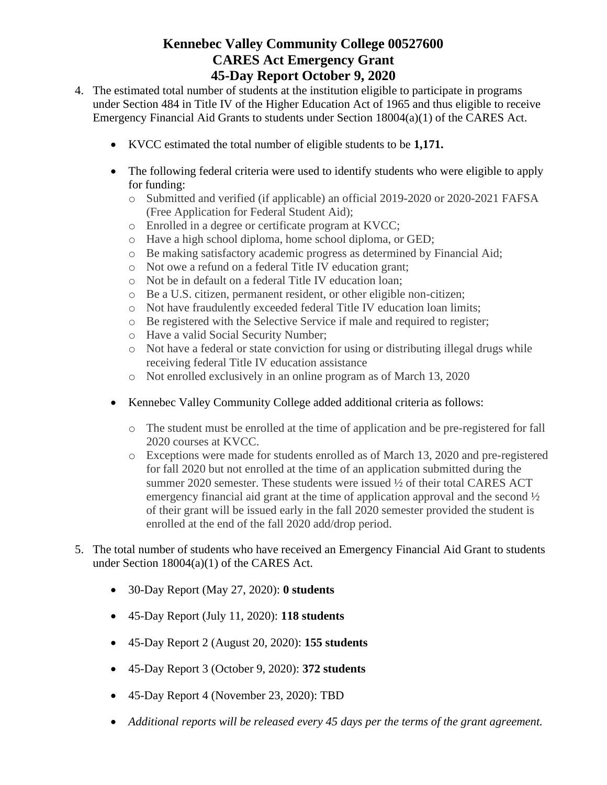- 4. The estimated total number of students at the institution eligible to participate in programs under Section 484 in Title IV of the Higher Education Act of 1965 and thus eligible to receive Emergency Financial Aid Grants to students under Section 18004(a)(1) of the CARES Act.
	- KVCC estimated the total number of eligible students to be **1,171.**
	- The following federal criteria were used to identify students who were eligible to apply for funding:
		- o Submitted and verified (if applicable) an official 2019-2020 or 2020-2021 FAFSA (Free Application for Federal Student Aid);
		- o Enrolled in a degree or certificate program at KVCC;
		- o Have a high school diploma, home school diploma, or GED;
		- o Be making satisfactory academic progress as determined by Financial Aid;
		- o Not owe a refund on a federal Title IV education grant;
		- o Not be in default on a federal Title IV education loan;
		- o Be a U.S. citizen, permanent resident, or other eligible non-citizen;
		- o Not have fraudulently exceeded federal Title IV education loan limits;
		- o Be registered with the Selective Service if male and required to register;
		- o Have a valid Social Security Number;
		- o Not have a federal or state conviction for using or distributing illegal drugs while receiving federal Title IV education assistance
		- o Not enrolled exclusively in an online program as of March 13, 2020
	- Kennebec Valley Community College added additional criteria as follows:
		- o The student must be enrolled at the time of application and be pre-registered for fall 2020 courses at KVCC.
		- o Exceptions were made for students enrolled as of March 13, 2020 and pre-registered for fall 2020 but not enrolled at the time of an application submitted during the summer 2020 semester. These students were issued  $\frac{1}{2}$  of their total CARES ACT emergency financial aid grant at the time of application approval and the second ½ of their grant will be issued early in the fall 2020 semester provided the student is enrolled at the end of the fall 2020 add/drop period.
- 5. The total number of students who have received an Emergency Financial Aid Grant to students under Section 18004(a)(1) of the CARES Act.
	- 30-Day Report (May 27, 2020): **0 students**
	- 45-Day Report (July 11, 2020): **118 students**
	- 45-Day Report 2 (August 20, 2020): **155 students**
	- 45-Day Report 3 (October 9, 2020): **372 students**
	- 45-Day Report 4 (November 23, 2020): TBD
	- *Additional reports will be released every 45 days per the terms of the grant agreement.*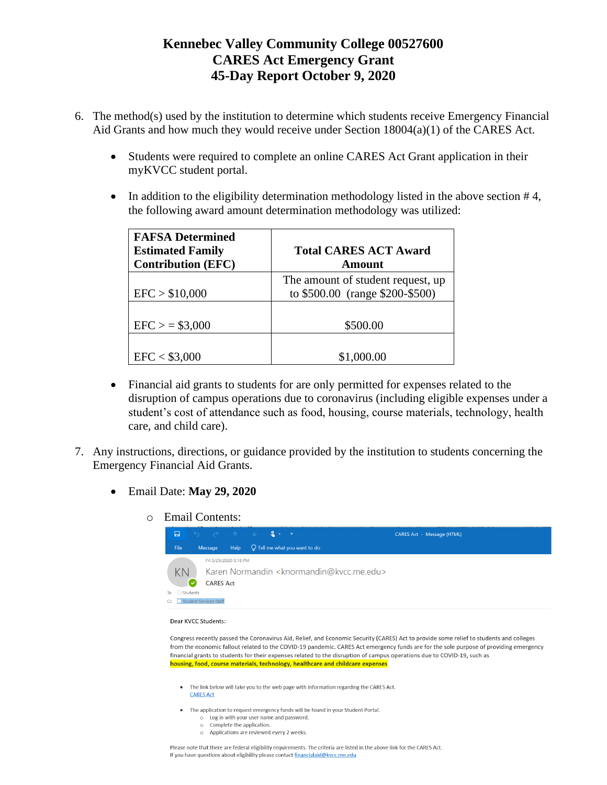- 6. The method(s) used by the institution to determine which students receive Emergency Financial Aid Grants and how much they would receive under Section 18004(a)(1) of the CARES Act.
	- Students were required to complete an online CARES Act Grant application in their myKVCC student portal.
	- In addition to the eligibility determination methodology listed in the above section  $#4$ , the following award amount determination methodology was utilized:

| <b>FAFSA Determined</b><br><b>Estimated Family</b><br><b>Contribution (EFC)</b> | <b>Total CARES ACT Award</b><br>Amount                               |
|---------------------------------------------------------------------------------|----------------------------------------------------------------------|
| EFC > \$10,000                                                                  | The amount of student request, up<br>to \$500.00 (range \$200-\$500) |
| $EFC$ > = \$3,000                                                               | \$500.00                                                             |
| EFC < \$3,000                                                                   | \$1,000.00                                                           |

- Financial aid grants to students for are only permitted for expenses related to the disruption of campus operations due to coronavirus (including eligible expenses under a student's cost of attendance such as food, housing, course materials, technology, health care, and child care).
- 7. Any instructions, directions, or guidance provided by the institution to students concerning the Emergency Financial Aid Grants.
	- Email Date: **May 29, 2020**
		- o Email Contents:



### Dear KVCC Students:

Congress recently passed the Coronavirus Aid, Relief, and Economic Security (CARES) Act to provide some relief to students and colleges from the economic fallout related to the COVID-19 pandemic. CARES Act emergency funds are for the sole purpose of providing emergency financial grants to students for their expenses related to the disruption of campus operations due to COVID-19, such as housing, food, course materials, technology, healthcare and childcare expenses

- . The link below will take you to the web page with information regarding the CARES Act. **CARES Act**
- The application to request emergency funds will be found in your Student Portal.
	- o Log in with your user name and password. o Complete the application.
	- o Applications are reviewed every 2 weeks.

Please note that there are federal eligibility requirements. The criteria are listed in the above link for the CARES Act. If you have questions about eligibility please contact financialaid@kvcc.me.edu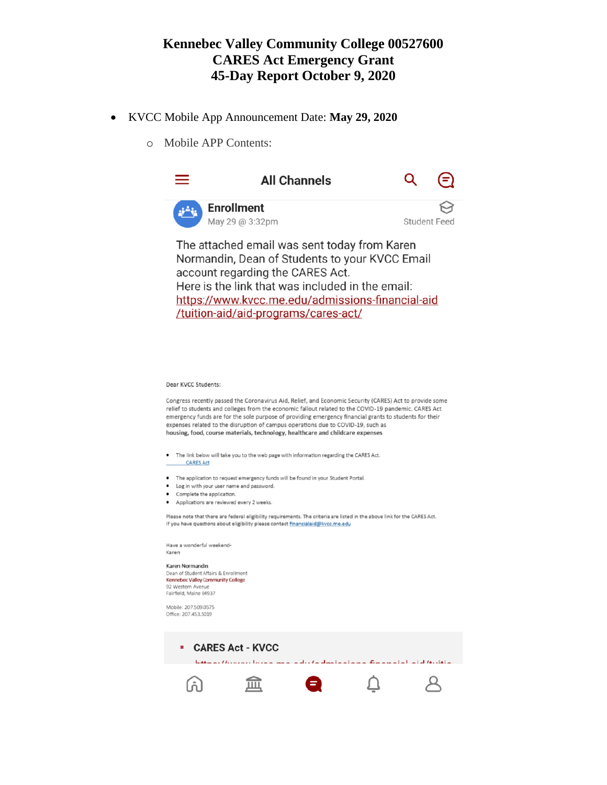- KVCC Mobile App Announcement Date: **May 29, 2020**
	- o Mobile APP Contents:



Here is the link that was included in the email: https://www.kvcc.me.edu/admissions-financial-aid /tuition-aid/aid-programs/cares-act/

#### Dear KVCC Students:

Congress recently passed the Coronavirus Aid, Relief, and Economic Security (CARES) Act to provide some relief to students and colleges from the economic fallout related to the COVID-19 pandemic. CARES Act emergency funds are for the sole purpose of providing emergency financial grants to students for their expenses related to the disruption of campus operations due to COVID-19, such as housing, food, course materials, technology, healthcare and childcare expenses

- The link below will take you to the web page with information regarding the CARES Act.
- **CARES Act**
- The application to request emergency funds will be found in your Student Portal.
- Log in with your user name and password.
- Complete the application.
- Applications are reviewed every 2 weeks.

Please note that there are federal eligibility requirements. The criteria are listed in the above link for the CARES Act. If you have questions about eligibility please contact financialaid@kvcc.me.edu

Have a wonderful weekend-Karen

### Karen Normandin

Dean of Student Affairs & Enrollment Kennebec Valley Community College 92 Western Avenue Fairfield, Maine 04937

Mobile: 207.509.0575 Office: 207.453.5019

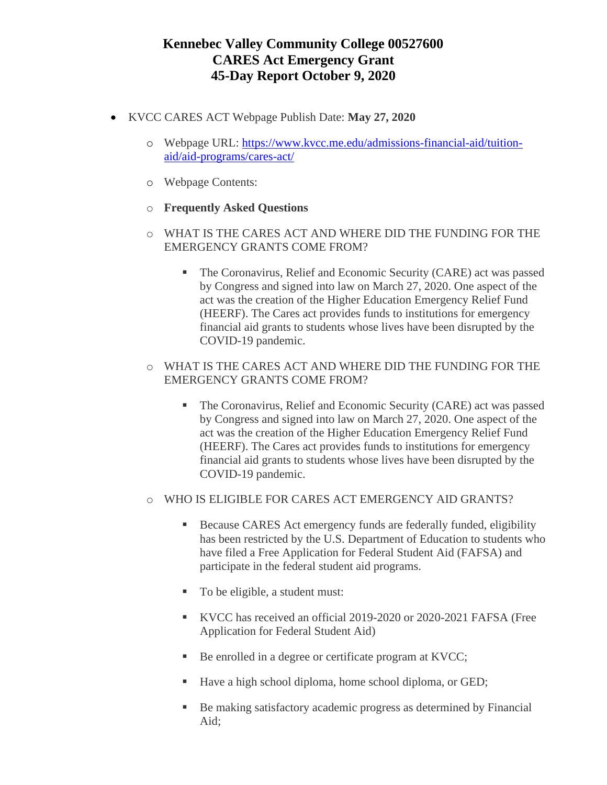- KVCC CARES ACT Webpage Publish Date: **May 27, 2020**
	- o Webpage URL: [https://www.kvcc.me.edu/admissions-financial-aid/tuition](https://www.kvcc.me.edu/admissions-financial-aid/tuition-aid/aid-programs/cares-act/)[aid/aid-programs/cares-act/](https://www.kvcc.me.edu/admissions-financial-aid/tuition-aid/aid-programs/cares-act/)
	- o Webpage Contents:
	- o **Frequently Asked Questions**
	- o WHAT IS THE CARES ACT AND WHERE DID THE FUNDING FOR THE EMERGENCY GRANTS COME FROM?
		- **The Coronavirus, Relief and Economic Security (CARE) act was passed** by Congress and signed into law on March 27, 2020. One aspect of the act was the creation of the Higher Education Emergency Relief Fund (HEERF). The Cares act provides funds to institutions for emergency financial aid grants to students whose lives have been disrupted by the COVID-19 pandemic.
	- o WHAT IS THE CARES ACT AND WHERE DID THE FUNDING FOR THE EMERGENCY GRANTS COME FROM?
		- The Coronavirus, Relief and Economic Security (CARE) act was passed by Congress and signed into law on March 27, 2020. One aspect of the act was the creation of the Higher Education Emergency Relief Fund (HEERF). The Cares act provides funds to institutions for emergency financial aid grants to students whose lives have been disrupted by the COVID-19 pandemic.
	- o WHO IS ELIGIBLE FOR CARES ACT EMERGENCY AID GRANTS?
		- Because CARES Act emergency funds are federally funded, eligibility has been restricted by the U.S. Department of Education to students who have filed a Free Application for Federal Student Aid (FAFSA) and participate in the federal student aid programs.
		- To be eligible, a student must:
		- KVCC has received an official 2019-2020 or 2020-2021 FAFSA (Free Application for Federal Student Aid)
		- Be enrolled in a degree or certificate program at KVCC;
		- Have a high school diploma, home school diploma, or GED;
		- Be making satisfactory academic progress as determined by Financial Aid;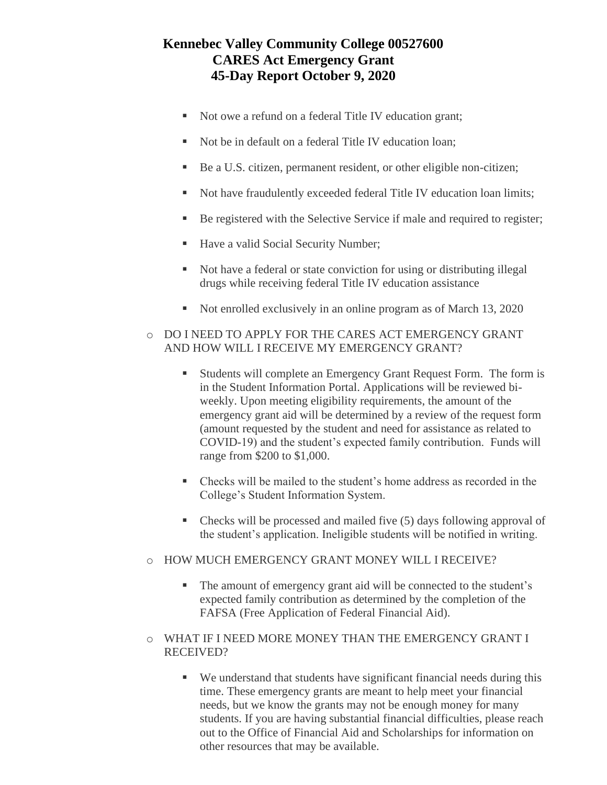- Not owe a refund on a federal Title IV education grant;
- Not be in default on a federal Title IV education loan;
- Be a U.S. citizen, permanent resident, or other eligible non-citizen;
- Not have fraudulently exceeded federal Title IV education loan limits;
- Be registered with the Selective Service if male and required to register;
- Have a valid Social Security Number;
- Not have a federal or state conviction for using or distributing illegal drugs while receiving federal Title IV education assistance
- Not enrolled exclusively in an online program as of March 13, 2020
- o DO I NEED TO APPLY FOR THE CARES ACT EMERGENCY GRANT AND HOW WILL I RECEIVE MY EMERGENCY GRANT?
	- Students will complete an Emergency Grant Request Form. The form is in the [Student Information Portal.](http://my.kvcc.me.edu/) Applications will be reviewed biweekly. Upon meeting eligibility requirements, the amount of the emergency grant aid will be determined by a review of the request form (amount requested by the student and need for assistance as related to COVID-19) and the student's expected family contribution. Funds will range from \$200 to \$1,000.
	- Checks will be mailed to the student's home address as recorded in the College's Student Information System.
	- Checks will be processed and mailed five (5) days following approval of the student's application. Ineligible students will be notified in writing.
- o HOW MUCH EMERGENCY GRANT MONEY WILL I RECEIVE?
	- The amount of emergency grant aid will be connected to the student's expected family contribution as determined by the completion of the FAFSA (Free Application of Federal Financial Aid).
- o WHAT IF I NEED MORE MONEY THAN THE EMERGENCY GRANT I RECEIVED?
	- We understand that students have significant financial needs during this time. These emergency grants are meant to help meet your financial needs, but we know the grants may not be enough money for many students. If you are having substantial financial difficulties, please reach out to the Office of Financial Aid and Scholarships for information on other resources that may be available.